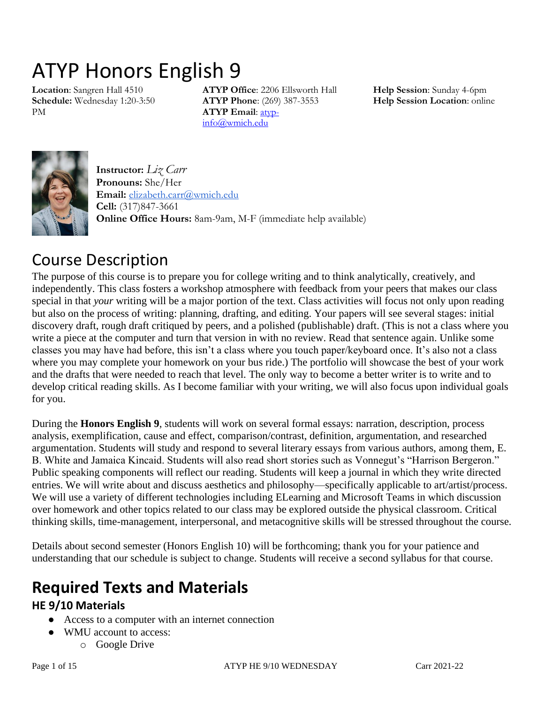# ATYP Honors English 9

**Location**: Sangren Hall 4510 **Schedule:** Wednesday 1:20-3:50 PM

**ATYP Office**: 2206 Ellsworth Hall **ATYP Phone**: (269) 387-3553 **ATYP Email**: [atyp](mailto:atyp-info@wmich.edu)[info@wmich.edu](mailto:atyp-info@wmich.edu)

**Help Session**: Sunday 4-6pm **Help Session Location**: online



**Instructor:** *Liz Carr* **Pronouns:** She/Her **Email:** [elizabeth.carr@wmich.edu](mailto:elizabeth.carr@wmich.edu) **Cell:** (317)847-3661 **Online Office Hours:** 8am-9am, M-F (immediate help available)

# Course Description

The purpose of this course is to prepare you for college writing and to think analytically, creatively, and independently. This class fosters a workshop atmosphere with feedback from your peers that makes our class special in that *your* writing will be a major portion of the text. Class activities will focus not only upon reading but also on the process of writing: planning, drafting, and editing. Your papers will see several stages: initial discovery draft, rough draft critiqued by peers, and a polished (publishable) draft. (This is not a class where you write a piece at the computer and turn that version in with no review. Read that sentence again. Unlike some classes you may have had before, this isn't a class where you touch paper/keyboard once. It's also not a class where you may complete your homework on your bus ride.) The portfolio will showcase the best of your work and the drafts that were needed to reach that level. The only way to become a better writer is to write and to develop critical reading skills. As I become familiar with your writing, we will also focus upon individual goals for you.

During the **Honors English 9**, students will work on several formal essays: narration, description, process analysis, exemplification, cause and effect, comparison/contrast, definition, argumentation, and researched argumentation. Students will study and respond to several literary essays from various authors, among them, E. B. White and Jamaica Kincaid. Students will also read short stories such as Vonnegut's "Harrison Bergeron." Public speaking components will reflect our reading. Students will keep a journal in which they write directed entries. We will write about and discuss aesthetics and philosophy—specifically applicable to art/artist/process. We will use a variety of different technologies including ELearning and Microsoft Teams in which discussion over homework and other topics related to our class may be explored outside the physical classroom. Critical thinking skills, time-management, interpersonal, and metacognitive skills will be stressed throughout the course.

Details about second semester (Honors English 10) will be forthcoming; thank you for your patience and understanding that our schedule is subject to change. Students will receive a second syllabus for that course.

# **Required Texts and Materials**

### **HE 9/10 Materials**

- Access to a computer with an internet connection
- WMU account to access:
	- o Google Drive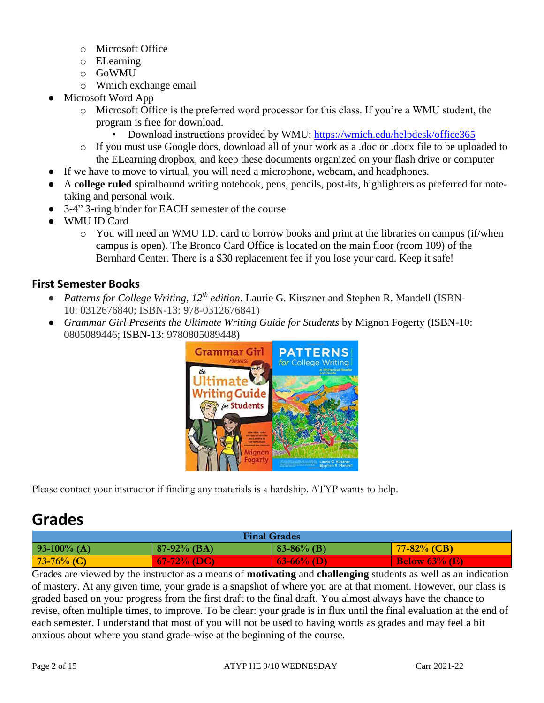- o Microsoft Office
- o ELearning
- o GoWMU
- o Wmich exchange email
- Microsoft Word App
	- o Microsoft Office is the preferred word processor for this class. If you're a WMU student, the program is free for download.
		- Download instructions provided by WMU:<https://wmich.edu/helpdesk/office365>
	- o If you must use Google docs, download all of your work as a .doc or .docx file to be uploaded to the ELearning dropbox, and keep these documents organized on your flash drive or computer
- If we have to move to virtual, you will need a microphone, webcam, and headphones.
- A **college ruled** spiralbound writing notebook, pens, pencils, post-its, highlighters as preferred for notetaking and personal work.
- 3-4" 3-ring binder for EACH semester of the course
- WMU ID Card
	- o You will need an WMU I.D. card to borrow books and print at the libraries on campus (if/when campus is open). The Bronco Card Office is located on the main floor (room 109) of the Bernhard Center. There is a \$30 replacement fee if you lose your card. Keep it safe!

### **First Semester Books**

- *Patterns for College Writing, 12<sup>th</sup> edition.* Laurie G. Kirszner and Stephen R. Mandell (ISBN-10: 0312676840; ISBN-13: 978-0312676841)
- *Grammar Girl Presents the Ultimate Writing Guide for Students* by Mignon Fogerty (ISBN-10: 0805089446; ISBN-13: 9780805089448)



Please contact your instructor if finding any materials is a hardship. ATYP wants to help.

## **Grades**

| <b>Final Grades</b>                                                 |                |              |                  |  |
|---------------------------------------------------------------------|----------------|--------------|------------------|--|
| $93-100\%$ (A)                                                      | $87-92\%$ (BA) | $83-86%$ (B) | $77 - 82\%$ (CB) |  |
| $73-76%$ (C)<br>$67-72%$ (DC)<br>$(63-66\%)(D)$<br>Below $63\%$ (E) |                |              |                  |  |

Grades are viewed by the instructor as a means of **motivating** and **challenging** students as well as an indication of mastery. At any given time, your grade is a snapshot of where you are at that moment. However, our class is graded based on your progress from the first draft to the final draft. You almost always have the chance to revise, often multiple times, to improve. To be clear: your grade is in flux until the final evaluation at the end of each semester. I understand that most of you will not be used to having words as grades and may feel a bit anxious about where you stand grade-wise at the beginning of the course.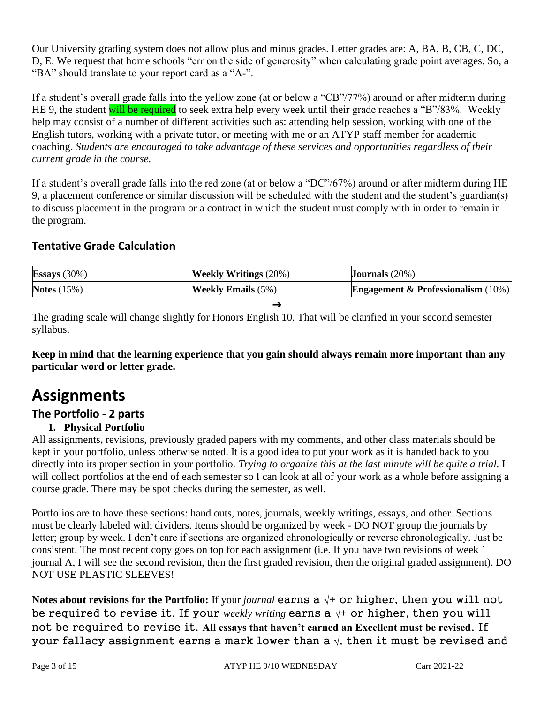Our University grading system does not allow plus and minus grades. Letter grades are: A, BA, B, CB, C, DC, D, E. We request that home schools "err on the side of generosity" when calculating grade point averages. So, a "BA" should translate to your report card as a "A-".

If a student's overall grade falls into the yellow zone (at or below a "CB"/77%) around or after midterm during HE 9, the student will be required to seek extra help every week until their grade reaches a "B"/83%. Weekly help may consist of a number of different activities such as: attending help session, working with one of the English tutors, working with a private tutor, or meeting with me or an ATYP staff member for academic coaching. *Students are encouraged to take advantage of these services and opportunities regardless of their current grade in the course.*

If a student's overall grade falls into the red zone (at or below a "DC"/67%) around or after midterm during HE 9, a placement conference or similar discussion will be scheduled with the student and the student's guardian(s) to discuss placement in the program or a contract in which the student must comply with in order to remain in the program.

### **Tentative Grade Calculation**

| Essays $(30\%)$ | <b>Weekly Writings</b> (20%) | <b>Journals</b> $(20%)$                          |
|-----------------|------------------------------|--------------------------------------------------|
| Notes $(15%)$   | <b>Weekly Emails</b> $(5\%)$ | <b>Engagement &amp; Professionalism</b> $(10\%)$ |
|                 |                              |                                                  |

The grading scale will change slightly for Honors English 10. That will be clarified in your second semester syllabus.

**Keep in mind that the learning experience that you gain should always remain more important than any particular word or letter grade.**

# **Assignments**

### **The Portfolio - 2 parts**

### **1. Physical Portfolio**

All assignments, revisions, previously graded papers with my comments, and other class materials should be kept in your portfolio, unless otherwise noted. It is a good idea to put your work as it is handed back to you directly into its proper section in your portfolio. *Trying to organize this at the last minute will be quite a trial.* I will collect portfolios at the end of each semester so I can look at all of your work as a whole before assigning a course grade. There may be spot checks during the semester, as well.

Portfolios are to have these sections: hand outs, notes, journals, weekly writings, essays, and other. Sections must be clearly labeled with dividers. Items should be organized by week - DO NOT group the journals by letter; group by week. I don't care if sections are organized chronologically or reverse chronologically. Just be consistent. The most recent copy goes on top for each assignment (i.e. If you have two revisions of week 1 journal A, I will see the second revision, then the first graded revision, then the original graded assignment). DO NOT USE PLASTIC SLEEVES!

**Notes about revisions for the Portfolio:** If your *journal* earns a √+ or higher, then you will not be required to revise it. If your *weekly writing* earns a √+ or higher, then you will not be required to revise it. **All essays that haven't earned an Excellent must be revised**. If your fallacy assignment earns a mark lower than a  $\sqrt{ }$ , then it must be revised and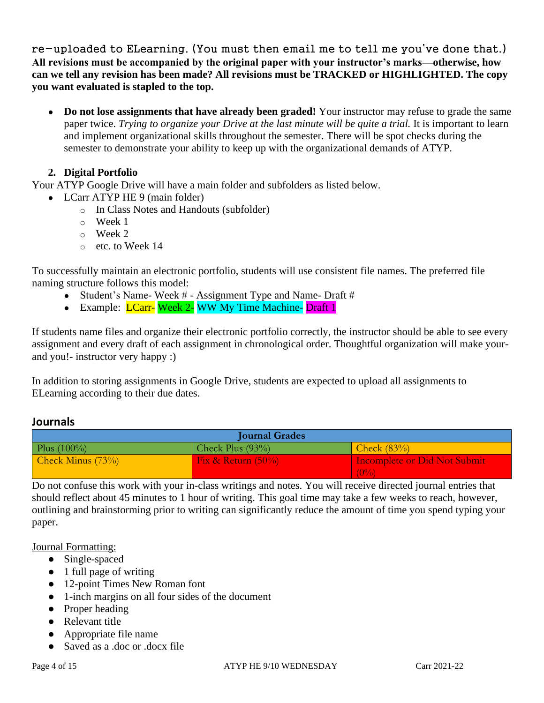re-uploaded to ELearning. (You must then email me to tell me you've done that.) **All revisions must be accompanied by the original paper with your instructor's marks—otherwise, how can we tell any revision has been made? All revisions must be TRACKED or HIGHLIGHTED. The copy you want evaluated is stapled to the top.**

• **Do not lose assignments that have already been graded!** Your instructor may refuse to grade the same paper twice. *Trying to organize your Drive at the last minute will be quite a trial.* It is important to learn and implement organizational skills throughout the semester. There will be spot checks during the semester to demonstrate your ability to keep up with the organizational demands of ATYP.

### **2. Digital Portfolio**

Your ATYP Google Drive will have a main folder and subfolders as listed below.

- LCarr ATYP HE 9 (main folder)
	- o In Class Notes and Handouts (subfolder)
	- o Week 1
	- o Week 2
	- o etc. to Week 14

To successfully maintain an electronic portfolio, students will use consistent file names. The preferred file naming structure follows this model:

- Student's Name- Week # Assignment Type and Name- Draft #
- Example: LCarr- Week 2- WW My Time Machine- Draft 1

If students name files and organize their electronic portfolio correctly, the instructor should be able to see every assignment and every draft of each assignment in chronological order. Thoughtful organization will make yourand you!- instructor very happy :)

In addition to storing assignments in Google Drive, students are expected to upload all assignments to ELearning according to their due dates.

### **Journals**

| <b>Journal Grades</b> |                       |                              |  |
|-----------------------|-----------------------|------------------------------|--|
| Plus $(100\%)$        | Check Plus $(93\%)$   | Check $(83%)$                |  |
| Check Minus $(73%)$   | Fix & Return $(50\%)$ | Incomplete or Did Not Submit |  |
|                       |                       | $^{(0\%)}$                   |  |

Do not confuse this work with your in-class writings and notes. You will receive directed journal entries that should reflect about 45 minutes to 1 hour of writing. This goal time may take a few weeks to reach, however, outlining and brainstorming prior to writing can significantly reduce the amount of time you spend typing your paper.

### Journal Formatting:

- Single-spaced
- 1 full page of writing
- 12-point Times New Roman font
- 1-inch margins on all four sides of the document
- Proper heading
- Relevant title
- Appropriate file name
- Saved as a .doc or .docx file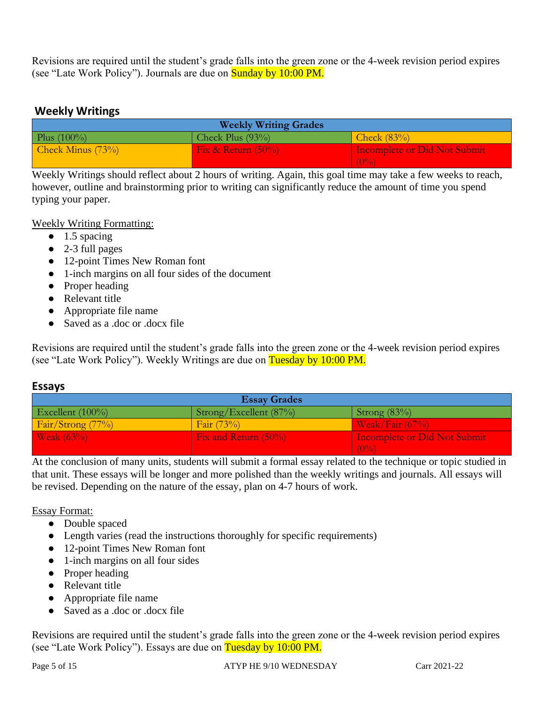Revisions are required until the student's grade falls into the green zone or the 4-week revision period expires (see "Late Work Policy"). Journals are due on **Sunday by 10:00 PM.** 

### **Weekly Writings**

| <b>Weekly Writing Grades</b> |                       |                                     |  |
|------------------------------|-----------------------|-------------------------------------|--|
| Plus $(100\%)$               | Check Plus $(93\%)$   | Check $(83%)$                       |  |
| Check Minus $(73%)$          | Fix & Return $(50\%)$ | <b>Incomplete or Did Not Submit</b> |  |
|                              |                       | $^{+}(0\%)$                         |  |

Weekly Writings should reflect about 2 hours of writing. Again, this goal time may take a few weeks to reach, however, outline and brainstorming prior to writing can significantly reduce the amount of time you spend typing your paper.

Weekly Writing Formatting:

- $\bullet$  1.5 spacing
- 2-3 full pages
- 12-point Times New Roman font
- 1-inch margins on all four sides of the document
- Proper heading
- Relevant title
- Appropriate file name
- Saved as a .doc or .docx file

Revisions are required until the student's grade falls into the green zone or the 4-week revision period expires (see "Late Work Policy"). Weekly Writings are due on Tuesday by 10:00 PM.

### **Essays**

| <b>Essay Grades</b>  |                                      |                                         |  |
|----------------------|--------------------------------------|-----------------------------------------|--|
| Excellent (100%)     | $\frac{1}{2}$ Strong/Excellent (87%) | $\left  \right. \text{Strong } (83\%)$  |  |
| Fair/Strong (77%)    | Fair $(73%)$                         | $\frac{W\text{cak}}{F\text{air}}$ (67%) |  |
| <b>Weak</b> $(63\%)$ | Fix and Return (50%)                 | <b>Incomplete or Did Not Submit</b>     |  |
|                      |                                      | $(0\%)$                                 |  |

At the conclusion of many units, students will submit a formal essay related to the technique or topic studied in that unit. These essays will be longer and more polished than the weekly writings and journals. All essays will be revised. Depending on the nature of the essay, plan on 4-7 hours of work.

### Essay Format:

- Double spaced
- Length varies (read the instructions thoroughly for specific requirements)
- 12-point Times New Roman font
- 1-inch margins on all four sides
- Proper heading
- Relevant title
- Appropriate file name
- Saved as a .doc or .docx file

Revisions are required until the student's grade falls into the green zone or the 4-week revision period expires (see "Late Work Policy"). Essays are due on Tuesday by 10:00 PM.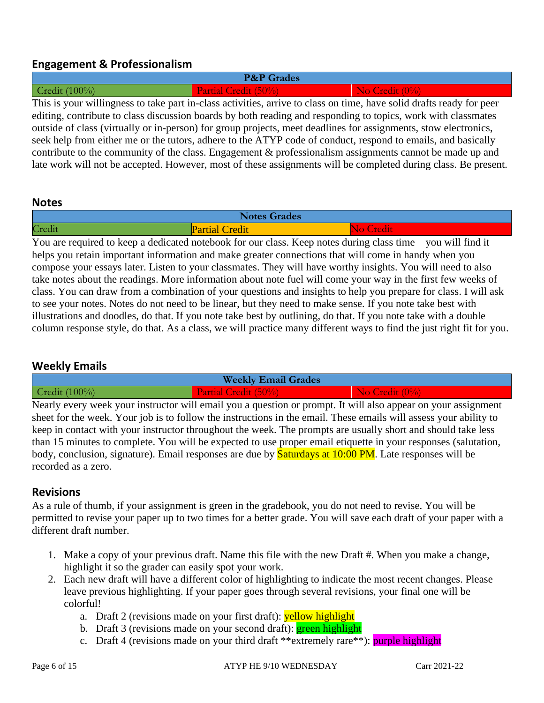### **Engagement & Professionalism**

| <b>P&amp;P</b> Grades                                                                                                |                             |                                         |  |  |
|----------------------------------------------------------------------------------------------------------------------|-----------------------------|-----------------------------------------|--|--|
| Credit $(100\%)$                                                                                                     | <b>Partial Credit (50%)</b> | $\overline{\phantom{a}}$ No Credit (0%) |  |  |
| This is your willingness to take part in-class activities, arrive to class on time, have solid drafts ready for peer |                             |                                         |  |  |
| editing, contribute to class discussion boards by both reading and responding to topics, work with classmates        |                             |                                         |  |  |
| outside of class (virtually or in-person) for group projects, meet deadlines for assignments, stow electronics,      |                             |                                         |  |  |
| seek help from either me or the tutors, adhere to the ATYP code of conduct, respond to emails, and basically         |                             |                                         |  |  |

contribute to the community of the class. Engagement & professionalism assignments cannot be made up and late work will not be accepted. However, most of these assignments will be completed during class. Be present.

### **Notes**

| <b>T.T.</b><br><b>Notes Grades</b> |                         |  |
|------------------------------------|-------------------------|--|
| Credi                              | Credit<br>ll "di<br>uai |  |

You are required to keep a dedicated notebook for our class. Keep notes during class time—you will find it helps you retain important information and make greater connections that will come in handy when you compose your essays later. Listen to your classmates. They will have worthy insights. You will need to also take notes about the readings. More information about note fuel will come your way in the first few weeks of class. You can draw from a combination of your questions and insights to help you prepare for class. I will ask to see your notes. Notes do not need to be linear, but they need to make sense. If you note take best with illustrations and doodles, do that. If you note take best by outlining, do that. If you note take with a double column response style, do that. As a class, we will practice many different ways to find the just right fit for you.

### **Weekly Emails**

| <b>Weekly Email Grades</b> |                                 |                       |  |
|----------------------------|---------------------------------|-----------------------|--|
| $00\%$<br>Credit           | <b>N50.</b><br><b>Execution</b> |                       |  |
| <b>RT</b>                  |                                 | $^{\circ}$ 11<br>. т. |  |

Nearly every week your instructor will email you a question or prompt. It will also appear on your assignment sheet for the week. Your job is to follow the instructions in the email. These emails will assess your ability to keep in contact with your instructor throughout the week. The prompts are usually short and should take less than 15 minutes to complete. You will be expected to use proper email etiquette in your responses (salutation, body, conclusion, signature). Email responses are due by **Saturdays at 10:00 PM**. Late responses will be recorded as a zero.

### **Revisions**

As a rule of thumb, if your assignment is green in the gradebook, you do not need to revise. You will be permitted to revise your paper up to two times for a better grade. You will save each draft of your paper with a different draft number.

- 1. Make a copy of your previous draft. Name this file with the new Draft #. When you make a change, highlight it so the grader can easily spot your work.
- 2. Each new draft will have a different color of highlighting to indicate the most recent changes. Please leave previous highlighting. If your paper goes through several revisions, your final one will be colorful!
	- a. Draft 2 (revisions made on your first draft): **yellow highlight**
	- b. Draft 3 (revisions made on your second draft): **green highlight**
	- c. Draft 4 (revisions made on your third draft \*\*extremely rare\*\*): purple highlight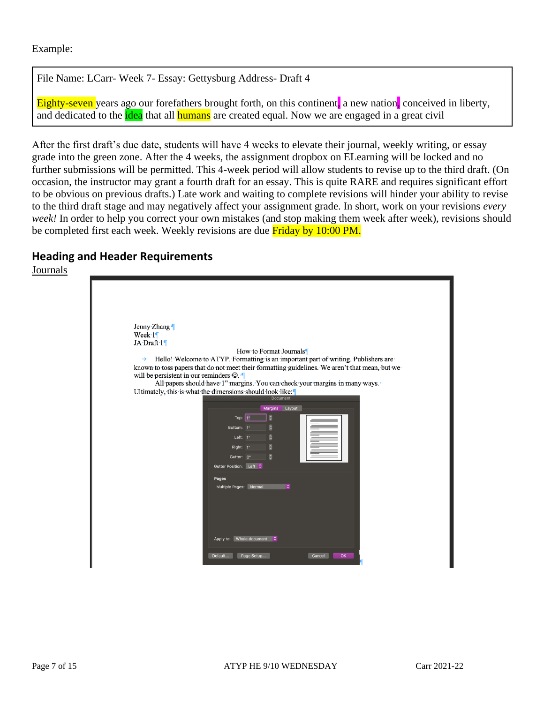### Example:

File Name: LCarr- Week 7- Essay: Gettysburg Address- Draft 4

Eighty-seven years ago our forefathers brought forth, on this continent, a new nation, conceived in liberty, and dedicated to the **idea** that all **humans** are created equal. Now we are engaged in a great civil

After the first draft's due date, students will have 4 weeks to elevate their journal, weekly writing, or essay grade into the green zone. After the 4 weeks, the assignment dropbox on ELearning will be locked and no further submissions will be permitted. This 4-week period will allow students to revise up to the third draft. (On occasion, the instructor may grant a fourth draft for an essay. This is quite RARE and requires significant effort to be obvious on previous drafts.) Late work and waiting to complete revisions will hinder your ability to revise to the third draft stage and may negatively affect your assignment grade. In short, work on your revisions *every week!* In order to help you correct your own mistakes (and stop making them week after week), revisions should be completed first each week. Weekly revisions are due **Friday by 10:00 PM.** 

### **Heading and Header Requirements**

Journals

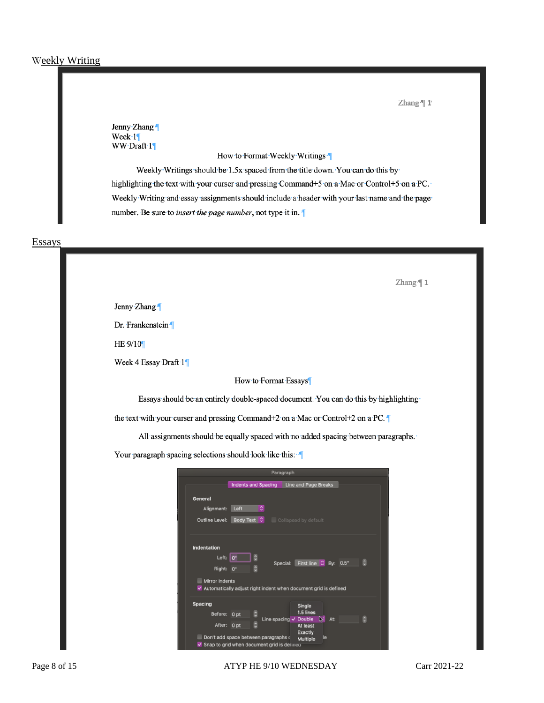Zhang<sup>-</sup>[1]

Jenny Zhang Week $\cdot$ 1 WW.Draft.1

How to Format Weekly Writings

Weekly Writings should be 1.5x spaced from the title down. You can do this by highlighting the text with your curser and pressing Command+5 on a Mac or Control+5 on a PC. Weekly Writing and essay assignments should include a header with your last name and the page number. Be sure to *insert the page number*, not type it in.

**Essays** 

Zhang<sup>-</sup>[1

Jenny Zhang

Dr. Frankenstein

HE-9/10

Week 4 Essay Draft 1

How to Format Essays

Essays should be an entirely double-spaced document. You can do this by highlighting

the text with your curser and pressing Command+2 on a Mac or Control+2 on a PC.

All assignments should be equally spaced with no added spacing between paragraphs.

Your paragraph spacing selections should look like this: 1

|                       |                 |                                                                 | Paragraph                         |                               |   |
|-----------------------|-----------------|-----------------------------------------------------------------|-----------------------------------|-------------------------------|---|
|                       |                 | Indents and Spacing                                             | Line and Page Breaks              |                               |   |
| <b>General</b>        |                 |                                                                 |                                   |                               |   |
| Alignment:            | Left            | ٥                                                               |                                   |                               |   |
| <b>Outline Level:</b> | Body Text C     |                                                                 | Collapsed by default              |                               |   |
|                       |                 |                                                                 |                                   |                               |   |
| <b>Indentation</b>    |                 |                                                                 |                                   |                               |   |
| Left: $0$ "           |                 |                                                                 |                                   |                               | O |
| Right:                | 0"              |                                                                 | Special:                          | First line $\degree$ By: 0.5" |   |
| <b>Mirror Indents</b> |                 |                                                                 |                                   |                               |   |
| ✓                     |                 | Automatically adjust right indent when document grid is defined |                                   |                               |   |
| <b>Spacing</b>        |                 |                                                                 | Single                            |                               |   |
| Before:               | 0 <sub>pt</sub> |                                                                 | 1.5 lines                         |                               |   |
| After: 0 pt           |                 | C                                                               | Line spacing v Double<br>At least | D≓<br>At:                     | O |
|                       |                 | Don't add space between paragraphs of                           | <b>Exactly</b>                    | le                            |   |
| ✓                     |                 | Snap to grid when document grid is detined                      | <b>Multiple</b>                   |                               |   |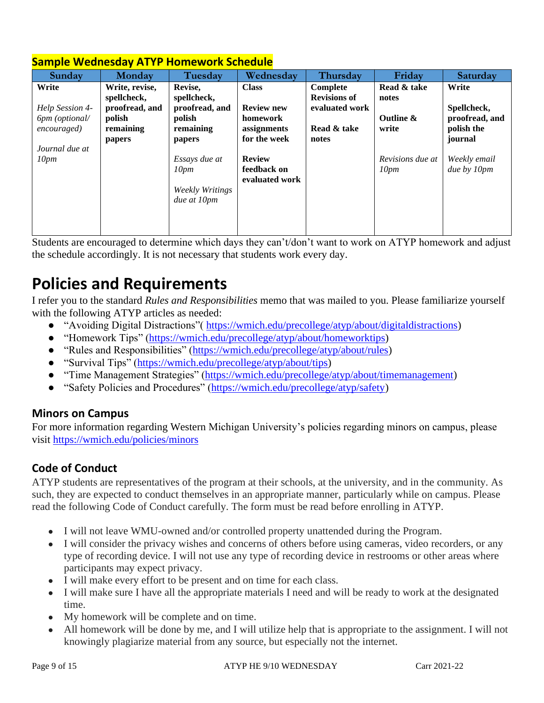| Sunday              | Monday         | Tuesday                | Wednesday         | Thursday            | Friday           | Saturday       |
|---------------------|----------------|------------------------|-------------------|---------------------|------------------|----------------|
| Write               | Write, revise, | Revise,                | <b>Class</b>      | Complete            | Read & take      | Write          |
|                     | spellcheck,    | spellcheck,            |                   | <b>Revisions of</b> | notes            |                |
| Help Session 4-     | proofread, and | proofread, and         | <b>Review new</b> | evaluated work      |                  | Spellcheck,    |
| 6pm (optional/      | polish         | polish                 | homework          |                     | Outline &        | proofread, and |
| <i>encouraged</i> ) | remaining      | remaining              | assignments       | Read & take         | write            | polish the     |
|                     | papers         | papers                 | for the week      | notes               |                  | journal        |
| Journal due at      |                |                        |                   |                     |                  |                |
| 10 <sub>pm</sub>    |                | Essays due at          | <b>Review</b>     |                     | Revisions due at | Weekly email   |
|                     |                | 10 <sub>pm</sub>       | feedback on       |                     | 10 <sub>pm</sub> | due by 10pm    |
|                     |                |                        | evaluated work    |                     |                  |                |
|                     |                | <b>Weekly Writings</b> |                   |                     |                  |                |
|                     |                | due at 10pm            |                   |                     |                  |                |
|                     |                |                        |                   |                     |                  |                |
|                     |                |                        |                   |                     |                  |                |
|                     |                |                        |                   |                     |                  |                |

## **Sample Wednesday ATYP Homework Schedule**

Students are encouraged to determine which days they can't/don't want to work on ATYP homework and adjust the schedule accordingly. It is not necessary that students work every day.

# **Policies and Requirements**

I refer you to the standard *Rules and Responsibilities* memo that was mailed to you. Please familiarize yourself with the following ATYP articles as needed:

- "Avoiding Digital Distractions" (https://wmich.edu/precollege/atyp/about/digitaldistractions)
- "Homework Tips" [\(https://wmich.edu/precollege/atyp/about/homeworktips\)](https://wmich.edu/precollege/atyp/about/homeworktips)
- "Rules and Responsibilities" [\(https://wmich.edu/precollege/atyp/about/rules\)](https://wmich.edu/precollege/atyp/about/rules)
- "Survival Tips" [\(https://wmich.edu/precollege/atyp/about/tips\)](https://wmich.edu/precollege/atyp/about/tips)
- "Time Management Strategies" [\(https://wmich.edu/precollege/atyp/about/timemanagement\)](https://wmich.edu/precollege/atyp/about/timemanagement)
- "Safety Policies and Procedures" [\(https://wmich.edu/precollege/atyp/safety\)](https://wmich.edu/precollege/atyp/safety)

### **Minors on Campus**

For more information regarding Western Michigan University's policies regarding minors on campus, please visit<https://wmich.edu/policies/minors>

## **Code of Conduct**

ATYP students are representatives of the program at their schools, at the university, and in the community. As such, they are expected to conduct themselves in an appropriate manner, particularly while on campus. Please read the following Code of Conduct carefully. The form must be read before enrolling in ATYP.

- I will not leave WMU-owned and/or controlled property unattended during the Program.
- I will consider the privacy wishes and concerns of others before using cameras, video recorders, or any type of recording device. I will not use any type of recording device in restrooms or other areas where participants may expect privacy.
- I will make every effort to be present and on time for each class.
- I will make sure I have all the appropriate materials I need and will be ready to work at the designated time.
- My homework will be complete and on time.
- All homework will be done by me, and I will utilize help that is appropriate to the assignment. I will not knowingly plagiarize material from any source, but especially not the internet.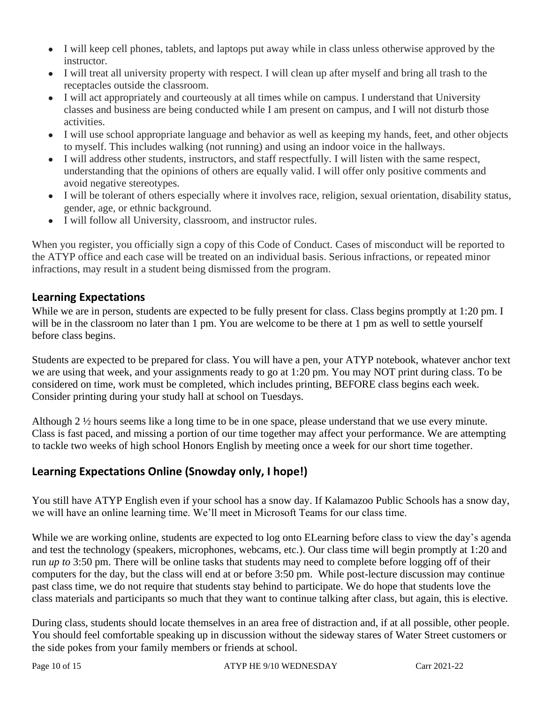- I will keep cell phones, tablets, and laptops put away while in class unless otherwise approved by the instructor.
- I will treat all university property with respect. I will clean up after myself and bring all trash to the receptacles outside the classroom.
- I will act appropriately and courteously at all times while on campus. I understand that University classes and business are being conducted while I am present on campus, and I will not disturb those activities.
- I will use school appropriate language and behavior as well as keeping my hands, feet, and other objects to myself. This includes walking (not running) and using an indoor voice in the hallways.
- I will address other students, instructors, and staff respectfully. I will listen with the same respect, understanding that the opinions of others are equally valid. I will offer only positive comments and avoid negative stereotypes.
- I will be tolerant of others especially where it involves race, religion, sexual orientation, disability status, gender, age, or ethnic background.
- I will follow all University, classroom, and instructor rules.

When you register, you officially sign a copy of this Code of Conduct. Cases of misconduct will be reported to the ATYP office and each case will be treated on an individual basis. Serious infractions, or repeated minor infractions, may result in a student being dismissed from the program.

### **Learning Expectations**

While we are in person, students are expected to be fully present for class. Class begins promptly at 1:20 pm. I will be in the classroom no later than 1 pm. You are welcome to be there at 1 pm as well to settle yourself before class begins.

Students are expected to be prepared for class. You will have a pen, your ATYP notebook, whatever anchor text we are using that week, and your assignments ready to go at 1:20 pm. You may NOT print during class. To be considered on time, work must be completed, which includes printing, BEFORE class begins each week. Consider printing during your study hall at school on Tuesdays.

Although 2 ½ hours seems like a long time to be in one space, please understand that we use every minute. Class is fast paced, and missing a portion of our time together may affect your performance. We are attempting to tackle two weeks of high school Honors English by meeting once a week for our short time together.

### **Learning Expectations Online (Snowday only, I hope!)**

You still have ATYP English even if your school has a snow day. If Kalamazoo Public Schools has a snow day, we will have an online learning time. We'll meet in Microsoft Teams for our class time.

While we are working online, students are expected to log onto ELearning before class to view the day's agenda and test the technology (speakers, microphones, webcams, etc.). Our class time will begin promptly at 1:20 and run *up to* 3:50 pm. There will be online tasks that students may need to complete before logging off of their computers for the day, but the class will end at or before 3:50 pm. While post-lecture discussion may continue past class time, we do not require that students stay behind to participate. We do hope that students love the class materials and participants so much that they want to continue talking after class, but again, this is elective.

During class, students should locate themselves in an area free of distraction and, if at all possible, other people. You should feel comfortable speaking up in discussion without the sideway stares of Water Street customers or the side pokes from your family members or friends at school.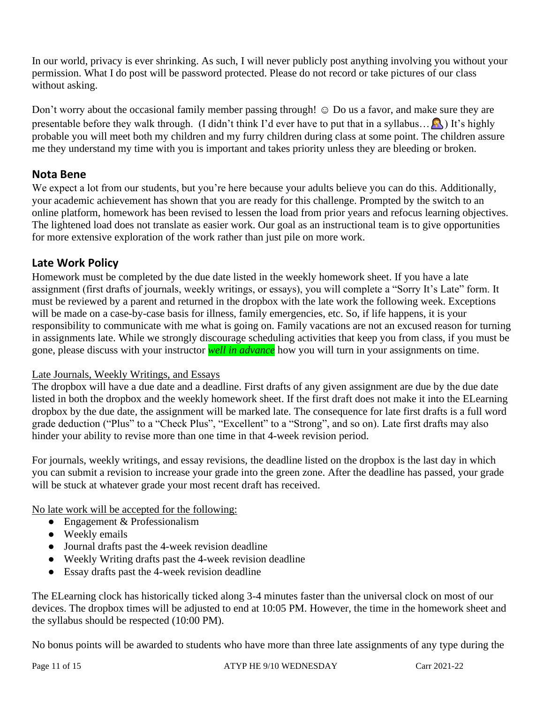In our world, privacy is ever shrinking. As such, I will never publicly post anything involving you without your permission. What I do post will be password protected. Please do not record or take pictures of our class without asking.

Don't worry about the occasional family member passing through! ☺ Do us a favor, and make sure they are presentable before they walk through. (I didn't think I'd ever have to put that in a syllabus...  $\mathbb{R}$ ) It's highly probable you will meet both my children and my furry children during class at some point. The children assure me they understand my time with you is important and takes priority unless they are bleeding or broken.

### **Nota Bene**

We expect a lot from our students, but you're here because your adults believe you can do this. Additionally, your academic achievement has shown that you are ready for this challenge. Prompted by the switch to an online platform, homework has been revised to lessen the load from prior years and refocus learning objectives. The lightened load does not translate as easier work. Our goal as an instructional team is to give opportunities for more extensive exploration of the work rather than just pile on more work.

### **Late Work Policy**

Homework must be completed by the due date listed in the weekly homework sheet. If you have a late assignment (first drafts of journals, weekly writings, or essays), you will complete a "Sorry It's Late" form. It must be reviewed by a parent and returned in the dropbox with the late work the following week. Exceptions will be made on a case-by-case basis for illness, family emergencies, etc. So, if life happens, it is your responsibility to communicate with me what is going on. Family vacations are not an excused reason for turning in assignments late. While we strongly discourage scheduling activities that keep you from class, if you must be gone, please discuss with your instructor *well in advance* how you will turn in your assignments on time.

### Late Journals, Weekly Writings, and Essays

The dropbox will have a due date and a deadline. First drafts of any given assignment are due by the due date listed in both the dropbox and the weekly homework sheet. If the first draft does not make it into the ELearning dropbox by the due date, the assignment will be marked late. The consequence for late first drafts is a full word grade deduction ("Plus" to a "Check Plus", "Excellent" to a "Strong", and so on). Late first drafts may also hinder your ability to revise more than one time in that 4-week revision period.

For journals, weekly writings, and essay revisions, the deadline listed on the dropbox is the last day in which you can submit a revision to increase your grade into the green zone. After the deadline has passed, your grade will be stuck at whatever grade your most recent draft has received.

No late work will be accepted for the following:

- Engagement & Professionalism
- Weekly emails
- Journal drafts past the 4-week revision deadline
- Weekly Writing drafts past the 4-week revision deadline
- Essay drafts past the 4-week revision deadline

The ELearning clock has historically ticked along 3-4 minutes faster than the universal clock on most of our devices. The dropbox times will be adjusted to end at 10:05 PM. However, the time in the homework sheet and the syllabus should be respected (10:00 PM).

No bonus points will be awarded to students who have more than three late assignments of any type during the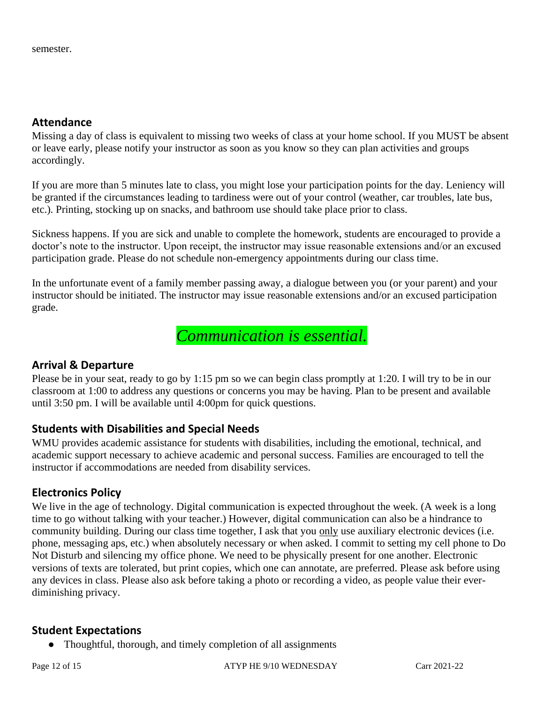### **Attendance**

Missing a day of class is equivalent to missing two weeks of class at your home school. If you MUST be absent or leave early, please notify your instructor as soon as you know so they can plan activities and groups accordingly.

If you are more than 5 minutes late to class, you might lose your participation points for the day. Leniency will be granted if the circumstances leading to tardiness were out of your control (weather, car troubles, late bus, etc.). Printing, stocking up on snacks, and bathroom use should take place prior to class.

Sickness happens. If you are sick and unable to complete the homework, students are encouraged to provide a doctor's note to the instructor. Upon receipt, the instructor may issue reasonable extensions and/or an excused participation grade. Please do not schedule non-emergency appointments during our class time.

In the unfortunate event of a family member passing away, a dialogue between you (or your parent) and your instructor should be initiated. The instructor may issue reasonable extensions and/or an excused participation grade.

*Communication is essential.* 

### **Arrival & Departure**

Please be in your seat, ready to go by 1:15 pm so we can begin class promptly at 1:20. I will try to be in our classroom at 1:00 to address any questions or concerns you may be having. Plan to be present and available until 3:50 pm. I will be available until 4:00pm for quick questions.

### **Students with Disabilities and Special Needs**

WMU provides academic assistance for students with disabilities, including the emotional, technical, and academic support necessary to achieve academic and personal success. Families are encouraged to tell the instructor if accommodations are needed from disability services.

### **Electronics Policy**

We live in the age of technology. Digital communication is expected throughout the week. (A week is a long time to go without talking with your teacher.) However, digital communication can also be a hindrance to community building. During our class time together, I ask that you only use auxiliary electronic devices (i.e. phone, messaging aps, etc.) when absolutely necessary or when asked. I commit to setting my cell phone to Do Not Disturb and silencing my office phone. We need to be physically present for one another. Electronic versions of texts are tolerated, but print copies, which one can annotate, are preferred. Please ask before using any devices in class. Please also ask before taking a photo or recording a video, as people value their everdiminishing privacy.

### **Student Expectations**

• Thoughtful, thorough, and timely completion of all assignments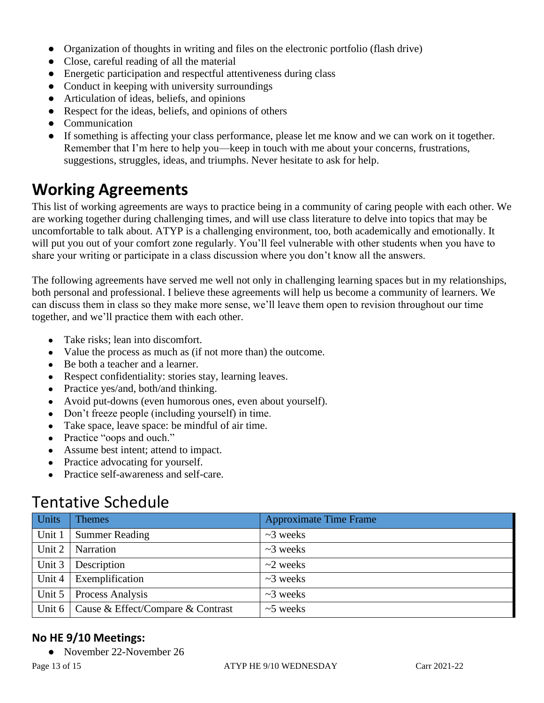- Organization of thoughts in writing and files on the electronic portfolio (flash drive)
- Close, careful reading of all the material
- Energetic participation and respectful attentiveness during class
- Conduct in keeping with university surroundings
- Articulation of ideas, beliefs, and opinions
- Respect for the ideas, beliefs, and opinions of others
- Communication
- If something is affecting your class performance, please let me know and we can work on it together. Remember that I'm here to help you—keep in touch with me about your concerns, frustrations, suggestions, struggles, ideas, and triumphs. Never hesitate to ask for help.

## **Working Agreements**

This list of working agreements are ways to practice being in a community of caring people with each other. We are working together during challenging times, and will use class literature to delve into topics that may be uncomfortable to talk about. ATYP is a challenging environment, too, both academically and emotionally. It will put you out of your comfort zone regularly. You'll feel vulnerable with other students when you have to share your writing or participate in a class discussion where you don't know all the answers.

The following agreements have served me well not only in challenging learning spaces but in my relationships, both personal and professional. I believe these agreements will help us become a community of learners. We can discuss them in class so they make more sense, we'll leave them open to revision throughout our time together, and we'll practice them with each other.

- Take risks; lean into discomfort.
- Value the process as much as (if not more than) the outcome.
- Be both a teacher and a learner.
- Respect confidentiality: stories stay, learning leaves.
- Practice yes/and, both/and thinking.
- Avoid put-downs (even humorous ones, even about yourself).
- Don't freeze people (including yourself) in time.
- Take space, leave space: be mindful of air time.
- Practice "oops and ouch."
- Assume best intent; attend to impact.
- Practice advocating for yourself.
- Practice self-awareness and self-care.

## Tentative Schedule

| <b>Units</b> | <b>Themes</b>                              | <b>Approximate Time Frame</b> |
|--------------|--------------------------------------------|-------------------------------|
| Unit 1       | <b>Summer Reading</b>                      | $\sim$ 3 weeks                |
| Unit 2       | Narration                                  | $\sim$ 3 weeks                |
| Unit 3       | Description                                | $\sim$ 2 weeks                |
| Unit 4       | Exemplification                            | $\sim$ 3 weeks                |
| Unit 5       | Process Analysis                           | $\sim$ 3 weeks                |
|              | Unit 6   Cause & Effect/Compare & Contrast | $~5$ weeks                    |

### **No HE 9/10 Meetings:**

● November 22-November 26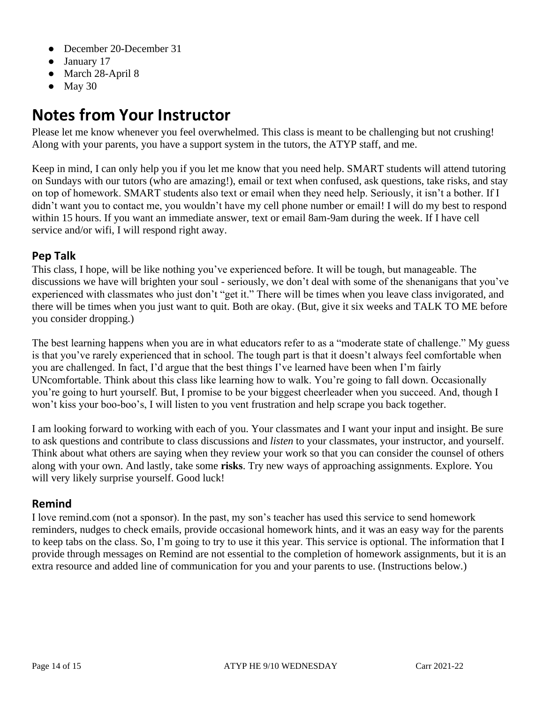- December 20-December 31
- January 17
- March 28-April 8
- $\bullet$  May 30

# **Notes from Your Instructor**

Please let me know whenever you feel overwhelmed. This class is meant to be challenging but not crushing! Along with your parents, you have a support system in the tutors, the ATYP staff, and me.

Keep in mind, I can only help you if you let me know that you need help. SMART students will attend tutoring on Sundays with our tutors (who are amazing!), email or text when confused, ask questions, take risks, and stay on top of homework. SMART students also text or email when they need help. Seriously, it isn't a bother. If I didn't want you to contact me, you wouldn't have my cell phone number or email! I will do my best to respond within 15 hours. If you want an immediate answer, text or email 8am-9am during the week. If I have cell service and/or wifi, I will respond right away.

### **Pep Talk**

This class, I hope, will be like nothing you've experienced before. It will be tough, but manageable. The discussions we have will brighten your soul - seriously, we don't deal with some of the shenanigans that you've experienced with classmates who just don't "get it." There will be times when you leave class invigorated, and there will be times when you just want to quit. Both are okay. (But, give it six weeks and TALK TO ME before you consider dropping.)

The best learning happens when you are in what educators refer to as a "moderate state of challenge." My guess is that you've rarely experienced that in school. The tough part is that it doesn't always feel comfortable when you are challenged. In fact, I'd argue that the best things I've learned have been when I'm fairly UNcomfortable. Think about this class like learning how to walk. You're going to fall down. Occasionally you're going to hurt yourself. But, I promise to be your biggest cheerleader when you succeed. And, though I won't kiss your boo-boo's, I will listen to you vent frustration and help scrape you back together.

I am looking forward to working with each of you. Your classmates and I want your input and insight. Be sure to ask questions and contribute to class discussions and *listen* to your classmates, your instructor, and yourself. Think about what others are saying when they review your work so that you can consider the counsel of others along with your own. And lastly, take some **risks**. Try new ways of approaching assignments. Explore. You will very likely surprise yourself. Good luck!

### **Remind**

I love remind.com (not a sponsor). In the past, my son's teacher has used this service to send homework reminders, nudges to check emails, provide occasional homework hints, and it was an easy way for the parents to keep tabs on the class. So, I'm going to try to use it this year. This service is optional. The information that I provide through messages on Remind are not essential to the completion of homework assignments, but it is an extra resource and added line of communication for you and your parents to use. (Instructions below.)